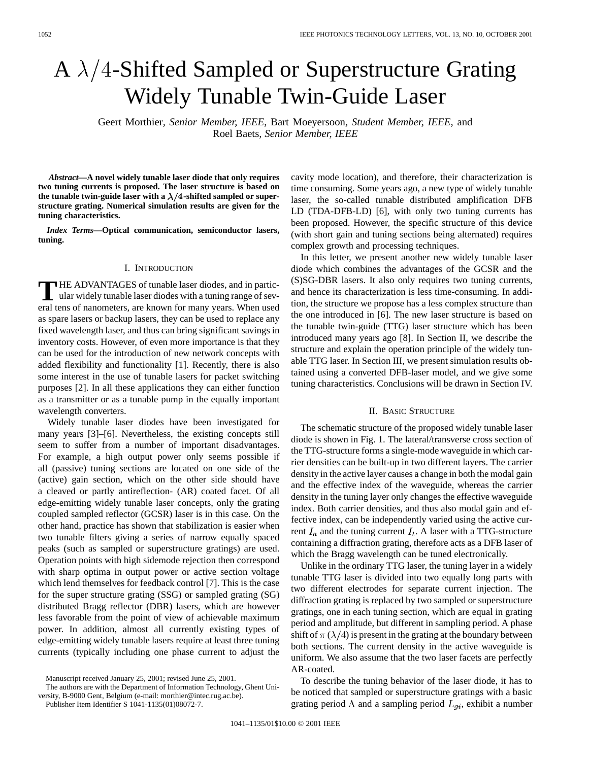# A  $\lambda/4$ -Shifted Sampled or Superstructure Grating Widely Tunable Twin-Guide Laser

Geert Morthier*, Senior Member, IEEE*, Bart Moeyersoon*, Student Member, IEEE*, and Roel Baets*, Senior Member, IEEE*

*Abstract—***A novel widely tunable laser diode that only requires two tuning currents is proposed. The laser structure is based on** the tunable twin-guide laser with a  $\lambda/4$ -shifted sampled or super**structure grating. Numerical simulation results are given for the tuning characteristics.**

*Index Terms—***Optical communication, semiconductor lasers, tuning.**

## I. INTRODUCTION

**T** HE ADVANTAGES of tunable laser diodes, and in partic-<br>ular widely tunable laser diodes with a tuning range of sev-<br>and take of nononuptane are lineur for measurements. When used eral tens of nanometers, are known for many years. When used as spare lasers or backup lasers, they can be used to replace any fixed wavelength laser, and thus can bring significant savings in inventory costs. However, of even more importance is that they can be used for the introduction of new network concepts with added flexibility and functionality [1]. Recently, there is also some interest in the use of tunable lasers for packet switching purposes [2]. In all these applications they can either function as a transmitter or as a tunable pump in the equally important wavelength converters.

Widely tunable laser diodes have been investigated for many years [3]–[6]. Nevertheless, the existing concepts still seem to suffer from a number of important disadvantages. For example, a high output power only seems possible if all (passive) tuning sections are located on one side of the (active) gain section, which on the other side should have a cleaved or partly antireflection- (AR) coated facet. Of all edge-emitting widely tunable laser concepts, only the grating coupled sampled reflector (GCSR) laser is in this case. On the other hand, practice has shown that stabilization is easier when two tunable filters giving a series of narrow equally spaced peaks (such as sampled or superstructure gratings) are used. Operation points with high sidemode rejection then correspond with sharp optima in output power or active section voltage which lend themselves for feedback control [7]. This is the case for the super structure grating (SSG) or sampled grating (SG) distributed Bragg reflector (DBR) lasers, which are however less favorable from the point of view of achievable maximum power. In addition, almost all currently existing types of edge-emitting widely tunable lasers require at least three tuning currents (typically including one phase current to adjust the cavity mode location), and therefore, their characterization is time consuming. Some years ago, a new type of widely tunable laser, the so-called tunable distributed amplification DFB LD (TDA-DFB-LD) [6], with only two tuning currents has been proposed. However, the specific structure of this device (with short gain and tuning sections being alternated) requires complex growth and processing techniques.

In this letter, we present another new widely tunable laser diode which combines the advantages of the GCSR and the (S)SG-DBR lasers. It also only requires two tuning currents, and hence its characterization is less time-consuming. In addition, the structure we propose has a less complex structure than the one introduced in [6]. The new laser structure is based on the tunable twin-guide (TTG) laser structure which has been introduced many years ago [8]. In Section II, we describe the structure and explain the operation principle of the widely tunable TTG laser. In Section III, we present simulation results obtained using a converted DFB-laser model, and we give some tuning characteristics. Conclusions will be drawn in Section IV.

## II. BASIC STRUCTURE

The schematic structure of the proposed widely tunable laser diode is shown in Fig. 1. The lateral/transverse cross section of the TTG-structure forms a single-mode waveguide in which carrier densities can be built-up in two different layers. The carrier density in the active layer causes a change in both the modal gain and the effective index of the waveguide, whereas the carrier density in the tuning layer only changes the effective waveguide index. Both carrier densities, and thus also modal gain and effective index, can be independently varied using the active current  $I_a$  and the tuning current  $I_t$ . A laser with a TTG-structure containing a diffraction grating, therefore acts as a DFB laser of which the Bragg wavelength can be tuned electronically.

Unlike in the ordinary TTG laser, the tuning layer in a widely tunable TTG laser is divided into two equally long parts with two different electrodes for separate current injection. The diffraction grating is replaced by two sampled or superstructure gratings, one in each tuning section, which are equal in grating period and amplitude, but different in sampling period. A phase shift of  $\pi(\lambda/4)$  is present in the grating at the boundary between both sections. The current density in the active waveguide is uniform. We also assume that the two laser facets are perfectly AR-coated.

To describe the tuning behavior of the laser diode, it has to be noticed that sampled or superstructure gratings with a basic grating period  $\Lambda$  and a sampling period  $L_{gi}$ , exhibit a number

Manuscript received January 25, 2001; revised June 25, 2001.

The authors are with the Department of Information Technology, Ghent University, B-9000 Gent, Belgium (e-mail: morthier@intec.rug.ac.be).

Publisher Item Identifier S 1041-1135(01)08072-7.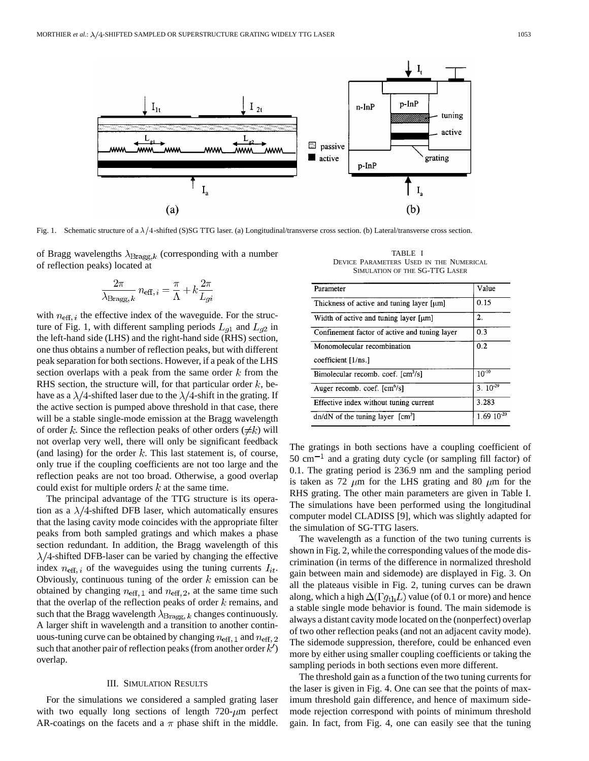

Fig. 1. Schematic structure of a  $\lambda/4$ -shifted (S)SG TTG laser. (a) Longitudinal/transverse cross section. (b) Lateral/transverse cross section.

of Bragg wavelengths  $\lambda_{\text{Bragg},k}$  (corresponding with a number of reflection peaks) located at

$$
\frac{2\pi}{\lambda_{\text{Bragg},k}} n_{\text{eff},i} = \frac{\pi}{\Lambda} + k \frac{2\pi}{L_{qi}}
$$

with  $n_{\text{eff},i}$  the effective index of the waveguide. For the structure of Fig. 1, with different sampling periods  $L_{g1}$  and  $L_{g2}$  in the left-hand side (LHS) and the right-hand side (RHS) section, one thus obtains a number of reflection peaks, but with different peak separation for both sections. However, if a peak of the LHS section overlaps with a peak from the same order  $k$  from the RHS section, the structure will, for that particular order  $k$ , behave as a  $\lambda/4$ -shifted laser due to the  $\lambda/4$ -shift in the grating. If the active section is pumped above threshold in that case, there will be a stable single-mode emission at the Bragg wavelength of order k. Since the reflection peaks of other orders ( $\neq k$ ) will not overlap very well, there will only be significant feedback (and lasing) for the order  $k$ . This last statement is, of course, only true if the coupling coefficients are not too large and the reflection peaks are not too broad. Otherwise, a good overlap could exist for multiple orders  $k$  at the same time.

The principal advantage of the TTG structure is its operation as a  $\lambda/4$ -shifted DFB laser, which automatically ensures that the lasing cavity mode coincides with the appropriate filter peaks from both sampled gratings and which makes a phase section redundant. In addition, the Bragg wavelength of this  $\lambda$ /4-shifted DFB-laser can be varied by changing the effective index  $n_{\text{eff},i}$  of the waveguides using the tuning currents  $I_{it}$ . Obviously, continuous tuning of the order  $k$  emission can be obtained by changing  $n_{\text{eff,1}}$  and  $n_{\text{eff,2}}$ , at the same time such that the overlap of the reflection peaks of order  $k$  remains, and such that the Bragg wavelength  $\lambda_{\text{Bragg},k}$  changes continuously. A larger shift in wavelength and a transition to another continuous-tuning curve can be obtained by changing  $n_{\text{eff, 1}}$  and  $n_{\text{eff, 2}}$ such that another pair of reflection peaks (from another order  $k'$ ) overlap.

#### III. SIMULATION RESULTS

For the simulations we considered a sampled grating laser with two equally long sections of length  $720-\mu m$  perfect AR-coatings on the facets and a  $\pi$  phase shift in the middle.

TABLE I DEVICE PARAMETERS USED IN THE NUMERICAL SIMULATION OF THE SG-TTG LASER

| Parameter                                        | Value       |
|--------------------------------------------------|-------------|
| Thickness of active and tuning layer [µm]        | 0.15        |
| Width of active and tuning layer $[µm]$          | 2.          |
| Confinement factor of active and tuning layer    | 0.3         |
| Monomolecular recombination                      | 0.2         |
| coefficient $[1/ns.]$                            |             |
| Bimolecular recomb. coef. [cm <sup>3</sup> /s]   | $10^{-10}$  |
| Auger recomb. coef. [cm <sup>6</sup> /s]         | $3.10^{29}$ |
| Effective index without tuning current           | 3.283       |
| $dn/dN$ of the tuning layer $\lceil cm^3 \rceil$ | 1.691       |

The gratings in both sections have a coupling coefficient of  $50 \text{ cm}^{-1}$  and a grating duty cycle (or sampling fill factor) of 0.1. The grating period is 236.9 nm and the sampling period is taken as 72  $\mu$ m for the LHS grating and 80  $\mu$ m for the RHS grating. The other main parameters are given in Table I. The simulations have been performed using the longitudinal computer model CLADISS [9], which was slightly adapted for the simulation of SG-TTG lasers.

The wavelength as a function of the two tuning currents is shown in Fig. 2, while the corresponding values of the mode discrimination (in terms of the difference in normalized threshold gain between main and sidemode) are displayed in Fig. 3. On all the plateaus visible in Fig. 2, tuning curves can be drawn along, which a high  $\Delta(\Gamma g_{\text{th}}L)$  value (of 0.1 or more) and hence a stable single mode behavior is found. The main sidemode is always a distant cavity mode located on the (nonperfect) overlap of two other reflection peaks (and not an adjacent cavity mode). The sidemode suppression, therefore, could be enhanced even more by either using smaller coupling coefficients or taking the sampling periods in both sections even more different.

The threshold gain as a function of the two tuning currents for the laser is given in Fig. 4. One can see that the points of maximum threshold gain difference, and hence of maximum sidemode rejection correspond with points of minimum threshold gain. In fact, from Fig. 4, one can easily see that the tuning